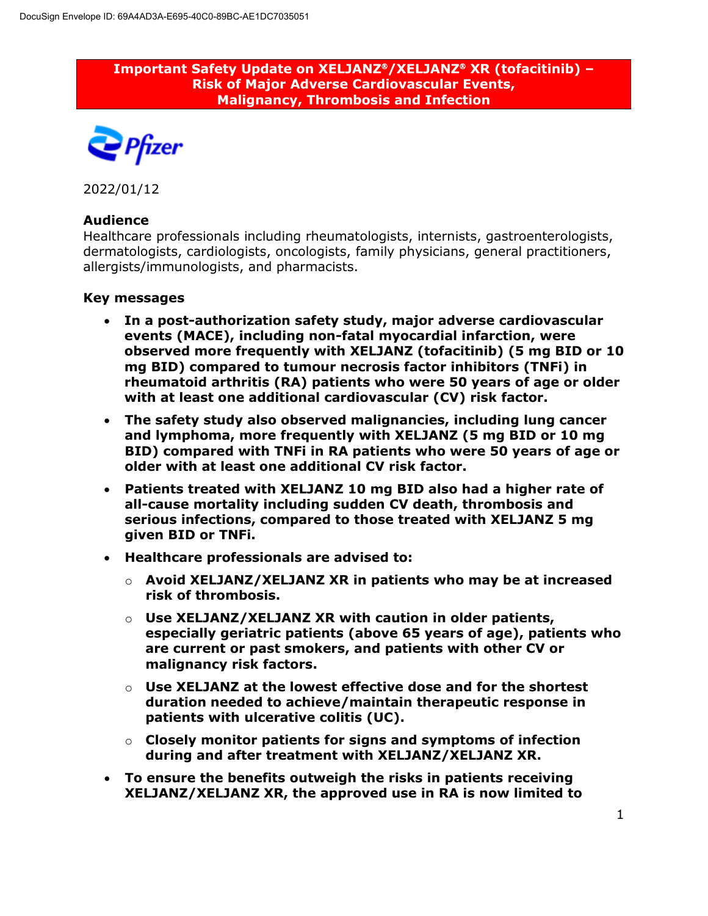**Important Safety Update on XELJANZ/XELJANZ XR (tofacitinib) – Risk of Major Adverse Cardiovascular Events, Malignancy, Thrombosis and Infection**



2022/01/12

## **Audience**

Healthcare professionals including rheumatologists, internists, gastroenterologists, dermatologists, cardiologists, oncologists, family physicians, general practitioners, allergists/immunologists, and pharmacists.

### **Key messages**

- **In a post-authorization safety study, major adverse cardiovascular events (MACE), including non-fatal myocardial infarction, were observed more frequently with XELJANZ (tofacitinib) (5 mg BID or 10 mg BID) compared to tumour necrosis factor inhibitors (TNFi) in rheumatoid arthritis (RA) patients who were 50 years of age or older with at least one additional cardiovascular (CV) risk factor.**
- **The safety study also observed malignancies, including lung cancer and lymphoma, more frequently with XELJANZ (5 mg BID or 10 mg BID) compared with TNFi in RA patients who were 50 years of age or older with at least one additional CV risk factor.**
- **Patients treated with XELJANZ 10 mg BID also had a higher rate of all-cause mortality including sudden CV death, thrombosis and serious infections, compared to those treated with XELJANZ 5 mg given BID or TNFi.**
- **Healthcare professionals are advised to:**
	- o **Avoid XELJANZ/XELJANZ XR in patients who may be at increased risk of thrombosis.**
	- o **Use XELJANZ/XELJANZ XR with caution in older patients, especially geriatric patients (above 65 years of age), patients who are current or past smokers, and patients with other CV or malignancy risk factors.**
	- o **Use XELJANZ at the lowest effective dose and for the shortest duration needed to achieve/maintain therapeutic response in patients with ulcerative colitis (UC).**
	- o **Closely monitor patients for signs and symptoms of infection during and after treatment with XELJANZ/XELJANZ XR.**
- **To ensure the benefits outweigh the risks in patients receiving XELJANZ/XELJANZ XR, the approved use in RA is now limited to**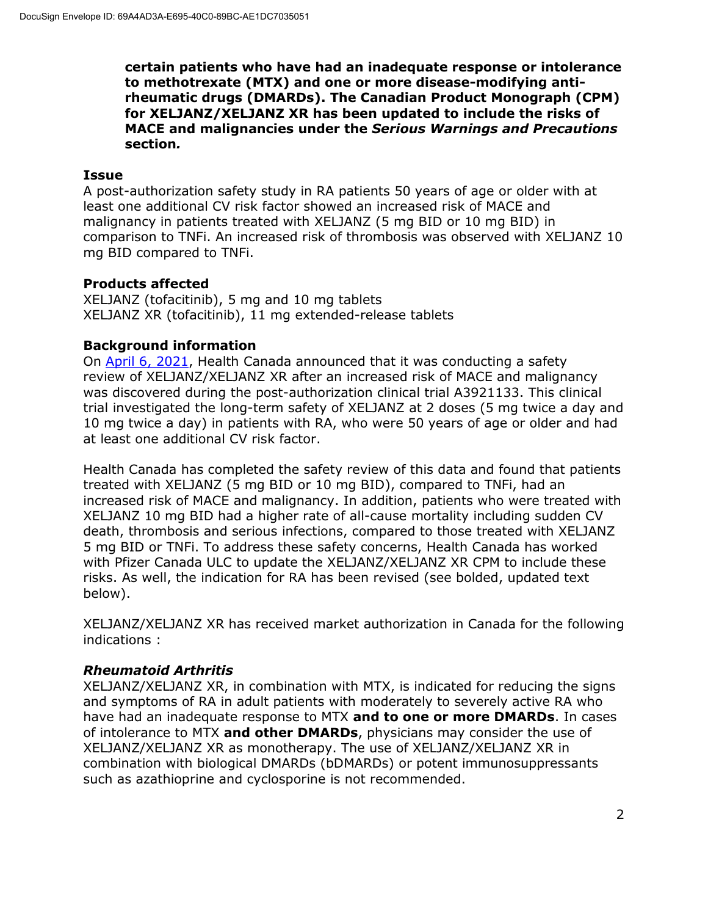**certain patients who have had an inadequate response or intolerance to methotrexate (MTX) and one or more disease-modifying antirheumatic drugs (DMARDs). The Canadian Product Monograph (CPM) for XELJANZ/XELJANZ XR has been updated to include the risks of MACE and malignancies under the** *Serious Warnings and Precautions* **section***.*

#### **Issue**

A post-authorization safety study in RA patients 50 years of age or older with at least one additional CV risk factor showed an increased risk of MACE and malignancy in patients treated with XELJANZ (5 mg BID or 10 mg BID) in comparison to TNFi. An increased risk of thrombosis was observed with XELJANZ 10 mg BID compared to TNFi.

## **Products affected**

XELJANZ (tofacitinib), 5 mg and 10 mg tablets XELJANZ XR (tofacitinib), 11 mg extended-release tablets

### **Background information**

On April 6, 2021, Health Canada announced that it was conducting a safety review of XELJANZ/XELJANZ XR after an increased risk of MACE and malignancy was discovered during the post-authorization clinical trial A3921133. This clinical trial investigated the long-term safety of XELJANZ at 2 doses (5 mg twice a day and 10 mg twice a day) in patients with RA, who were 50 years of age or older and had at least one additional CV risk factor.

Health Canada has completed the safety review of this data and found that patients treated with XELJANZ (5 mg BID or 10 mg BID), compared to TNFi, had an increased risk of MACE and malignancy. In addition, patients who were treated with XELJANZ 10 mg BID had a higher rate of all-cause mortality including sudden CV death, thrombosis and serious infections, compared to those treated with XELJANZ 5 mg BID or TNFi. To address these safety concerns, Health Canada has worked with Pfizer Canada ULC to update the XELJANZ/XELJANZ XR CPM to include these risks. As well, the indication for RA has been revised (see bolded, updated text below).

XELJANZ/XELJANZ XR has received market authorization in Canada for the following indications :

### *Rheumatoid Arthritis*

XELJANZ/XELJANZ XR, in combination with MTX, is indicated for reducing the signs and symptoms of RA in adult patients with moderately to severely active RA who have had an inadequate response to MTX **and to one or more DMARDs**. In cases of intolerance to MTX **and other DMARDs**, physicians may consider the use of XELJANZ/XELJANZ XR as monotherapy. The use of XELJANZ/XELJANZ XR in combination with biological DMARDs (bDMARDs) or potent immunosuppressants such as azathioprine and cyclosporine is not recommended.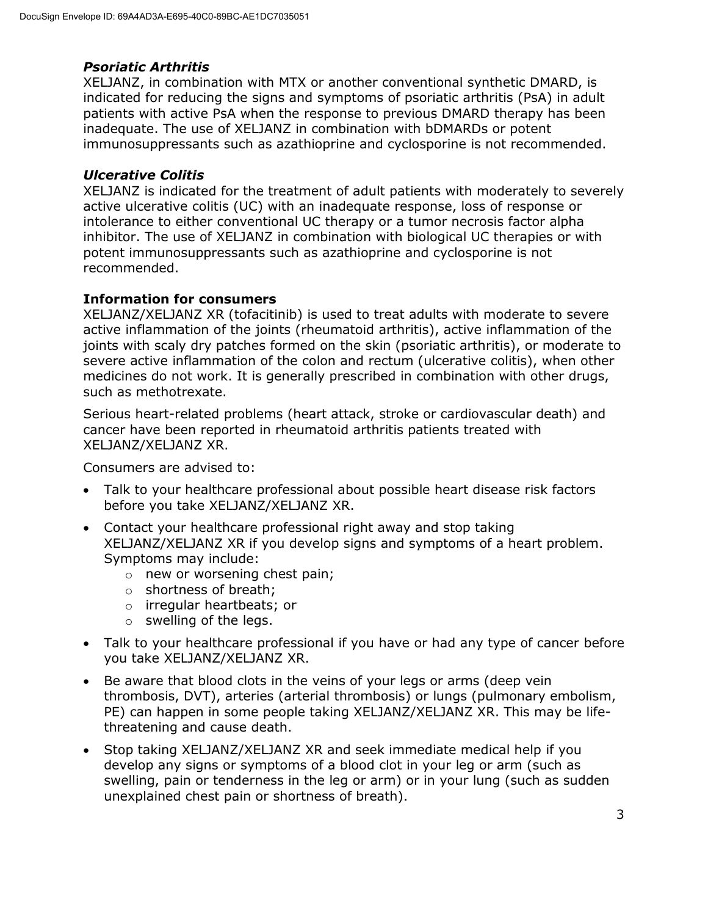# *Psoriatic Arthritis*

XELJANZ, in combination with MTX or another conventional synthetic DMARD, is indicated for reducing the signs and symptoms of psoriatic arthritis (PsA) in adult patients with active PsA when the response to previous DMARD therapy has been inadequate. The use of XELJANZ in combination with bDMARDs or potent immunosuppressants such as azathioprine and cyclosporine is not recommended.

# *Ulcerative Colitis*

XELJANZ is indicated for the treatment of adult patients with moderately to severely active ulcerative colitis (UC) with an inadequate response, loss of response or intolerance to either conventional UC therapy or a tumor necrosis factor alpha inhibitor. The use of XELJANZ in combination with biological UC therapies or with potent immunosuppressants such as azathioprine and cyclosporine is not recommended.

# **Information for consumers**

XELJANZ/XELJANZ XR (tofacitinib) is used to treat adults with moderate to severe active inflammation of the joints (rheumatoid arthritis), active inflammation of the joints with scaly dry patches formed on the skin (psoriatic arthritis), or moderate to severe active inflammation of the colon and rectum (ulcerative colitis), when other medicines do not work. It is generally prescribed in combination with other drugs, such as methotrexate.

Serious heart-related problems (heart attack, stroke or cardiovascular death) and cancer have been reported in rheumatoid arthritis patients treated with XELJANZ/XELJANZ XR.

Consumers are advised to:

- Talk to your healthcare professional about possible heart disease risk factors before you take XELJANZ/XELJANZ XR.
- Contact your healthcare professional right away and stop taking XELJANZ/XELJANZ XR if you develop signs and symptoms of a heart problem. Symptoms may include:
	- o new or worsening chest pain;
	- o shortness of breath;
	- o irregular heartbeats; or
	- $\circ$  swelling of the legs.
- Talk to your healthcare professional if you have or had any type of cancer before you take XELJANZ/XELJANZ XR.
- Be aware that blood clots in the veins of your legs or arms (deep vein thrombosis, DVT), arteries (arterial thrombosis) or lungs (pulmonary embolism, PE) can happen in some people taking XELJANZ/XELJANZ XR. This may be lifethreatening and cause death.
- Stop taking XELJANZ/XELJANZ XR and seek immediate medical help if you develop any signs or symptoms of a blood clot in your leg or arm (such as swelling, pain or tenderness in the leg or arm) or in your lung (such as sudden unexplained chest pain or shortness of breath).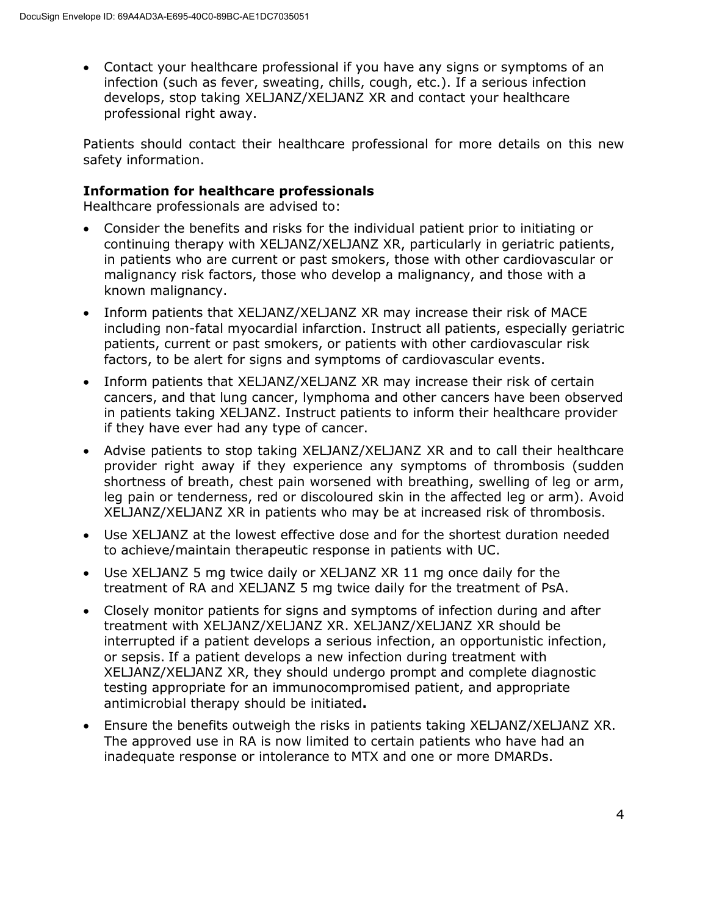Contact your healthcare professional if you have any signs or symptoms of an infection (such as fever, sweating, chills, cough, etc.). If a serious infection develops, stop taking XELJANZ/XELJANZ XR and contact your healthcare professional right away.

Patients should contact their healthcare professional for more details on this new safety information.

### **Information for healthcare professionals**

Healthcare professionals are advised to:

- Consider the benefits and risks for the individual patient prior to initiating or continuing therapy with XELJANZ/XELJANZ XR, particularly in geriatric patients, in patients who are current or past smokers, those with other cardiovascular or malignancy risk factors, those who develop a malignancy, and those with a known malignancy.
- Inform patients that XELJANZ/XELJANZ XR may increase their risk of MACE including non-fatal myocardial infarction. Instruct all patients, especially geriatric patients, current or past smokers, or patients with other cardiovascular risk factors, to be alert for signs and symptoms of cardiovascular events.
- Inform patients that XELJANZ/XELJANZ XR may increase their risk of certain cancers, and that lung cancer, lymphoma and other cancers have been observed in patients taking XELJANZ. Instruct patients to inform their healthcare provider if they have ever had any type of cancer.
- Advise patients to stop taking XELJANZ/XELJANZ XR and to call their healthcare provider right away if they experience any symptoms of thrombosis (sudden shortness of breath, chest pain worsened with breathing, swelling of leg or arm, leg pain or tenderness, red or discoloured skin in the affected leg or arm). Avoid XELJANZ/XELJANZ XR in patients who may be at increased risk of thrombosis.
- Use XELJANZ at the lowest effective dose and for the shortest duration needed to achieve/maintain therapeutic response in patients with UC.
- Use XELJANZ 5 mg twice daily or XELJANZ XR 11 mg once daily for the treatment of RA and XELJANZ 5 mg twice daily for the treatment of PsA.
- Closely monitor patients for signs and symptoms of infection during and after treatment with XELJANZ/XELJANZ XR. XELJANZ/XELJANZ XR should be interrupted if a patient develops a serious infection, an opportunistic infection, or sepsis. If a patient develops a new infection during treatment with XELJANZ/XELJANZ XR, they should undergo prompt and complete diagnostic testing appropriate for an immunocompromised patient, and appropriate antimicrobial therapy should be initiated**.**
- Ensure the benefits outweigh the risks in patients taking XELJANZ/XELJANZ XR. The approved use in RA is now limited to certain patients who have had an inadequate response or intolerance to MTX and one or more DMARDs.